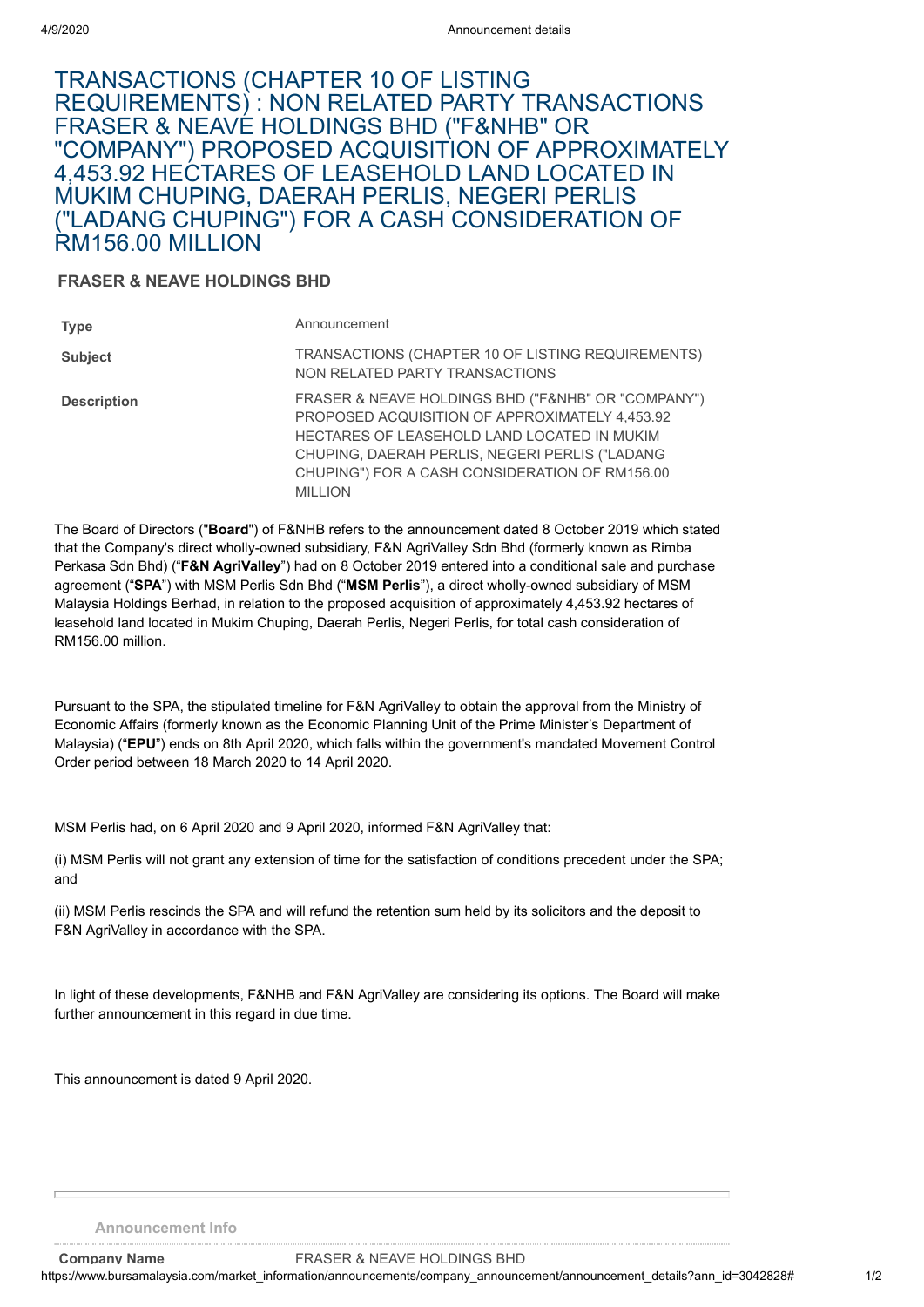## TRANSACTIONS (CHAPTER 10 OF LISTING REQUIREMENTS) : NON RELATED PARTY TRANSACTIONS FRASER & NEAVE HOLDINGS BHD ("F&NHB" OR "COMPANY") PROPOSED ACQUISITION OF APPROXIMATELY 4,453.92 HECTARES OF LEASEHOLD LAND LOCATED IN MUKIM CHUPING, DAERAH PERLIS, NEGERI PERLIS ("LADANG CHUPING") FOR A CASH CONSIDERATION OF RM156.00 MILLION

## **FRASER & NEAVE HOLDINGS BHD**

| <b>Type</b>        | Announcement                                                                                                                                                                                                                                                              |
|--------------------|---------------------------------------------------------------------------------------------------------------------------------------------------------------------------------------------------------------------------------------------------------------------------|
| <b>Subject</b>     | TRANSACTIONS (CHAPTER 10 OF LISTING REQUIREMENTS)<br>NON RELATED PARTY TRANSACTIONS                                                                                                                                                                                       |
| <b>Description</b> | FRASER & NEAVE HOLDINGS BHD ("F&NHB" OR "COMPANY")<br>PROPOSED ACQUISITION OF APPROXIMATELY 4,453.92<br>HECTARES OF LEASEHOLD LAND LOCATED IN MUKIM<br>CHUPING, DAERAH PERLIS, NEGERI PERLIS ("LADANG<br>CHUPING") FOR A CASH CONSIDERATION OF RM156.00<br><b>MILLION</b> |

The Board of Directors ("**Board**") of F&NHB refers to the announcement dated 8 October 2019 which stated that the Company's direct wholly-owned subsidiary, F&N AgriValley Sdn Bhd (formerly known as Rimba Perkasa Sdn Bhd) ("**F&N AgriValley**") had on 8 October 2019 entered into a conditional sale and purchase agreement ("**SPA**") with MSM Perlis Sdn Bhd ("**MSM Perlis**"), a direct wholly-owned subsidiary of MSM Malaysia Holdings Berhad, in relation to the proposed acquisition of approximately 4,453.92 hectares of leasehold land located in Mukim Chuping, Daerah Perlis, Negeri Perlis, for total cash consideration of RM156.00 million.

Pursuant to the SPA, the stipulated timeline for F&N AgriValley to obtain the approval from the Ministry of Economic Affairs (formerly known as the Economic Planning Unit of the Prime Minister's Department of Malaysia) ("**EPU**") ends on 8th April 2020, which falls within the government's mandated Movement Control Order period between 18 March 2020 to 14 April 2020.

MSM Perlis had, on 6 April 2020 and 9 April 2020, informed F&N AgriValley that:

(i) MSM Perlis will not grant any extension of time for the satisfaction of conditions precedent under the SPA; and

(ii) MSM Perlis rescinds the SPA and will refund the retention sum held by its solicitors and the deposit to F&N AgriValley in accordance with the SPA.

In light of these developments, F&NHB and F&N AgriValley are considering its options. The Board will make further announcement in this regard in due time.

This announcement is dated 9 April 2020.

**Announcement Info**